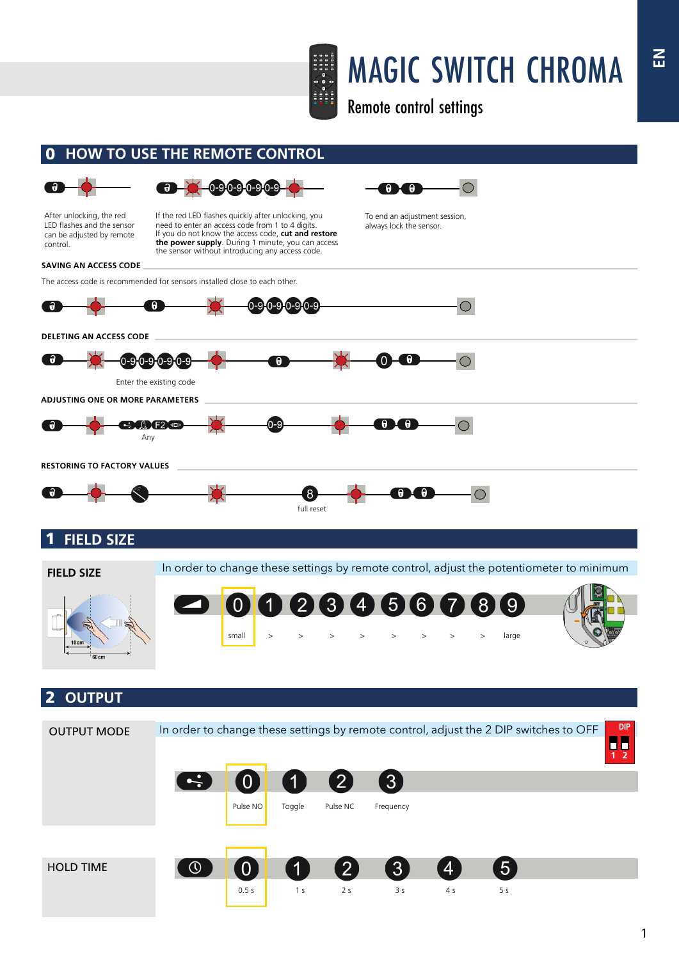

## MAGIC SWITCH CHROMA

Remote control settings

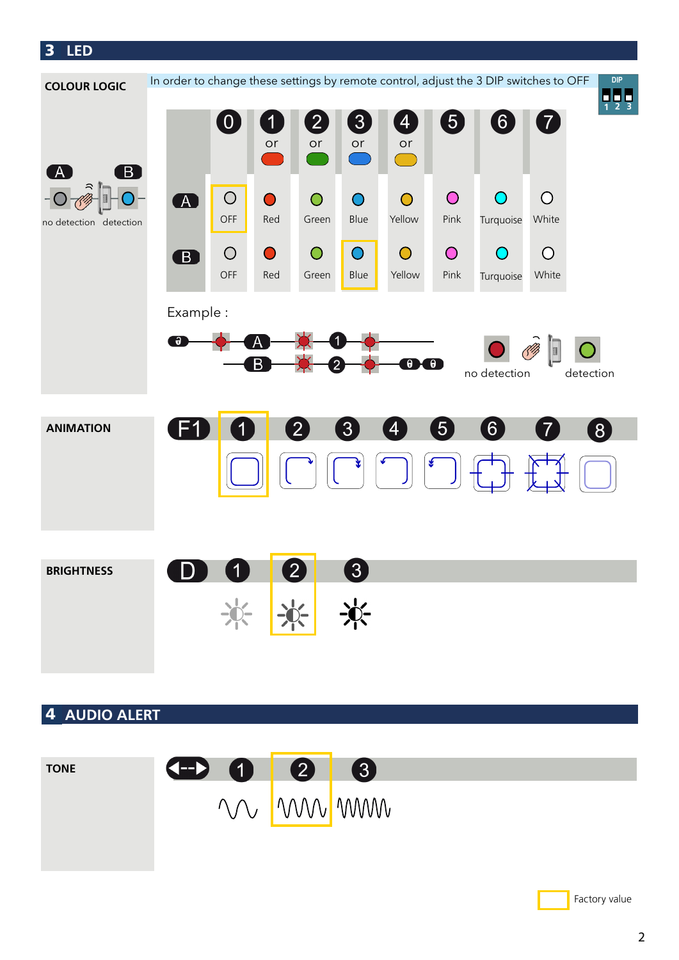3 **LED**



## 4 **AUDIO ALERT**



Factory value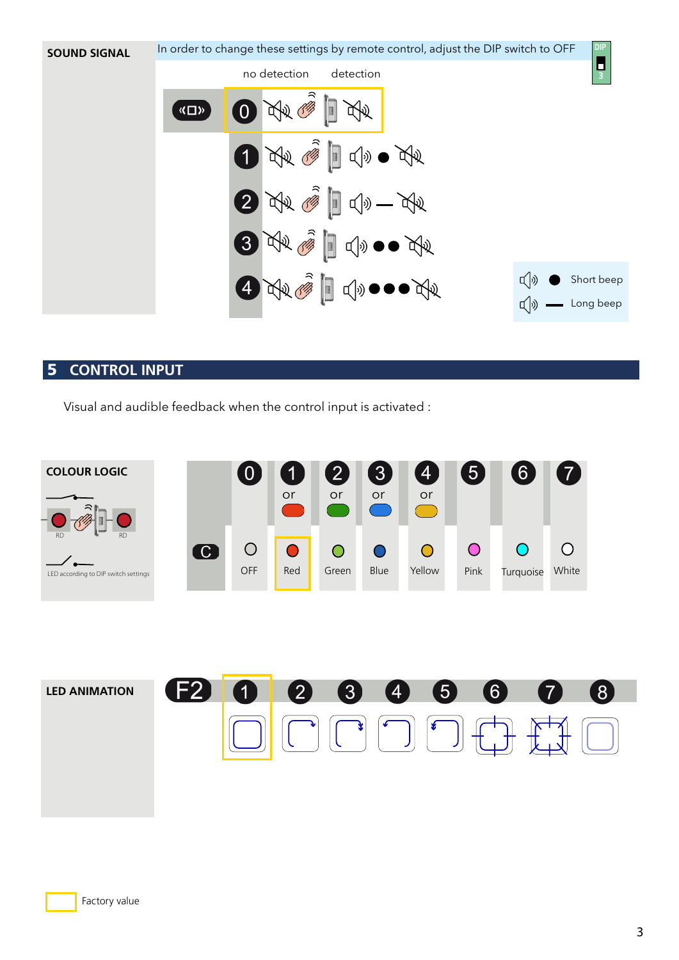

## 5 **CONTROL INPUT**

Visual and audible feedback when the control input is activated :